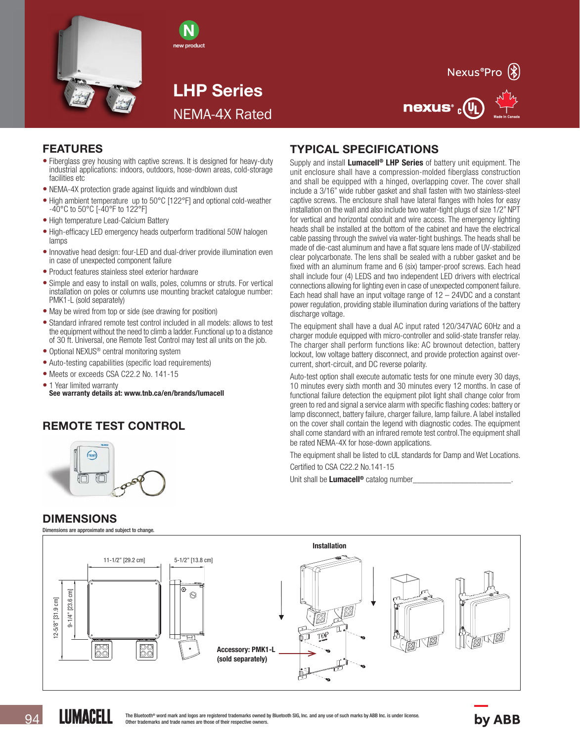



LHP Series NEMA-4X Rated



nexus<sup>®</sup> <sub>c</sub>(VL



- Fiberglass grey housing with captive screws. It is designed for heavy-duty industrial applications: indoors, outdoors, hose-down areas, cold-storage facilities etc
- NEMA-4X protection grade against liquids and windblown dust
- High ambient temperature up to 50°C [122°F] and optional cold-weather -40°C to 50°C [-40°F to 122°F]
- High temperature Lead-Calcium Battery
- High-efficacy LED emergency heads outperform traditional 50W halogen lamps
- Innovative head design: four-LED and dual-driver provide illumination even in case of unexpected component failure
- Product features stainless steel exterior hardware
- Simple and easy to install on walls, poles, columns or struts. For vertical installation on poles or columns use mounting bracket catalogue number: PMK1-L (sold separately)
- May be wired from top or side (see drawing for position)
- Standard infrared remote test control included in all models: allows to test the equipment without the need to climb a ladder. Functional up to a distance of 30 ft. Universal, one Remote Test Control may test all units on the job.
- Optional NEXUS<sup>®</sup> central monitoring system
- Auto-testing capabilities (specific load requirements)
- Meets or exceeds CSA C22.2 No. 141-15
- 1 Year limited warranty See warranty details at: www.tnb.ca/en/brands/lumacell

## REMOTE TEST CONTROL



### DIMENSIONS

LUMACELL

Dimensions are approximate and subject to change.

#### Installation 11-1/2" [29.2 cm] 5-1/2" [13.8 cm]  $[23.6 \text{ cm}]$ 9-1/4" [23.6 cm]  $\circledcirc$ 2-5/8" [31.9 cm] 12-5/8" [31.9 cm]  $9 - 1/4"$ 00 88 Accessory: PMK1-L (sold separately)

# TYPICAL SPECIFICATIONS

Supply and install **Lumacell<sup>®</sup> LHP Series** of battery unit equipment. The unit enclosure shall have a compression-molded fiberglass construction and shall be equipped with a hinged, overlapping cover. The cover shall include a 3/16" wide rubber gasket and shall fasten with two stainless-steel captive screws. The enclosure shall have lateral flanges with holes for easy installation on the wall and also include two water-tight plugs of size 1/2" NPT for vertical and horizontal conduit and wire access. The emergency lighting heads shall be installed at the bottom of the cabinet and have the electrical cable passing through the swivel via water-tight bushings. The heads shall be made of die-cast aluminum and have a flat square lens made of UV-stabilized clear polycarbonate. The lens shall be sealed with a rubber gasket and be fixed with an aluminum frame and 6 (six) tamper-proof screws. Each head shall include four (4) LEDS and two independent LED drivers with electrical connections allowing for lighting even in case of unexpected component failure. Each head shall have an input voltage range of  $12 - 24$ VDC and a constant power regulation, providing stable illumination during variations of the battery discharge voltage.

The equipment shall have a dual AC input rated 120/347VAC 60Hz and a charger module equipped with micro-controller and solid-state transfer relay. The charger shall perform functions like: AC brownout detection, battery lockout, low voltage battery disconnect, and provide protection against overcurrent, short-circuit, and DC reverse polarity.

Auto-test option shall execute automatic tests for one minute every 30 days, 10 minutes every sixth month and 30 minutes every 12 months. In case of functional failure detection the equipment pilot light shall change color from green to red and signal a service alarm with specific flashing codes: battery or lamp disconnect, battery failure, charger failure, lamp failure. A label installed on the cover shall contain the legend with diagnostic codes. The equipment shall come standard with an infrared remote test control.The equipment shall be rated NEMA-4X for hose-down applications.

The equipment shall be listed to cUL standards for Damp and Wet Locations.

Certified to CSA C22.2 No.141-15

Unit shall be Lumacell<sup>®</sup> catalog number\_